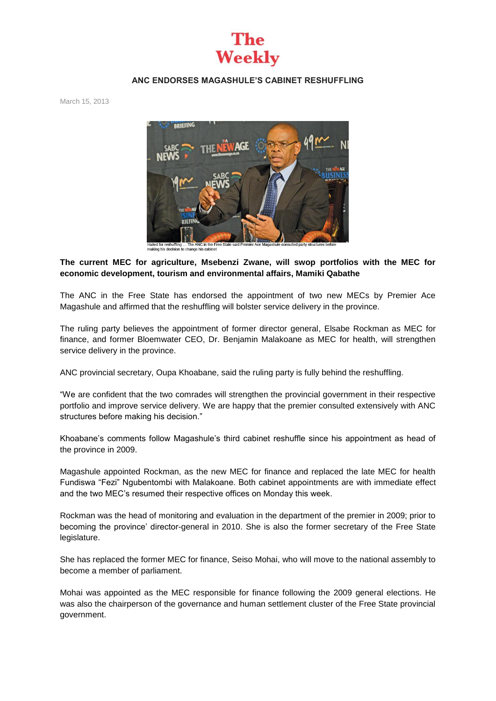

## **ANC ENDORSES MAGASHULE'S CABINET RESHUFFLING**

March 15, 2013



Hailed for reshuffling ... The ANC in the Fre<br>making his decision to change his cabinet

## **The current MEC for agriculture, Msebenzi Zwane, will swop portfolios with the MEC for economic development, tourism and environmental affairs, Mamiki Qabathe**

The ANC in the Free State has endorsed the appointment of two new MECs by Premier Ace Magashule and affirmed that the reshuffling will bolster service delivery in the province.

The ruling party believes the appointment of former director general, Elsabe Rockman as MEC for finance, and former Bloemwater CEO, Dr. Benjamin Malakoane as MEC for health, will strengthen service delivery in the province.

ANC provincial secretary, Oupa Khoabane, said the ruling party is fully behind the reshuffling.

"We are confident that the two comrades will strengthen the provincial government in their respective portfolio and improve service delivery. We are happy that the premier consulted extensively with ANC structures before making his decision."

Khoabane's comments follow Magashule's third cabinet reshuffle since his appointment as head of the province in 2009.

Magashule appointed Rockman, as the new MEC for finance and replaced the late MEC for health Fundiswa "Fezi" Ngubentombi with Malakoane. Both cabinet appointments are with immediate effect and the two MEC's resumed their respective offices on Monday this week.

Rockman was the head of monitoring and evaluation in the department of the premier in 2009; prior to becoming the province' director-general in 2010. She is also the former secretary of the Free State legislature.

She has replaced the former MEC for finance, Seiso Mohai, who will move to the national assembly to become a member of parliament.

Mohai was appointed as the MEC responsible for finance following the 2009 general elections. He was also the chairperson of the governance and human settlement cluster of the Free State provincial government.